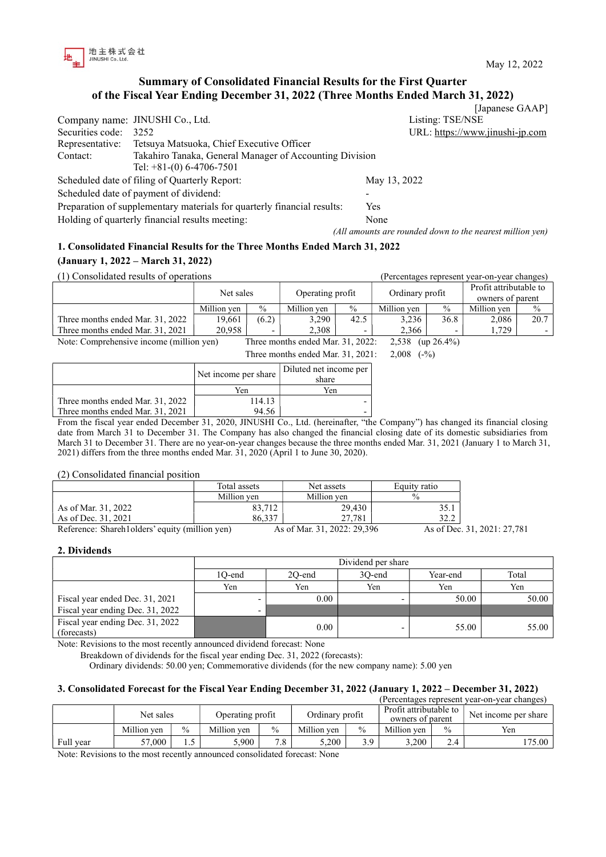

[Japanese GAAP]

# Summary of Consolidated Financial Results for the First Quarter of the Fiscal Year Ending December 31, 2022 (Three Months Ended March 31, 2022)

|                  | Company name: JINUSHI Co., Ltd.                                         | Listing: TSE/NSE                                          |
|------------------|-------------------------------------------------------------------------|-----------------------------------------------------------|
| Securities code: | 3252                                                                    | URL: https://www.jinushi-jp.com                           |
| Representative:  | Tetsuya Matsuoka, Chief Executive Officer                               |                                                           |
| Contact:         | Takahiro Tanaka, General Manager of Accounting Division                 |                                                           |
|                  | Tel: $+81-(0)$ 6-4706-7501                                              |                                                           |
|                  | Scheduled date of filing of Quarterly Report:                           | May 13, 2022                                              |
|                  | Scheduled date of payment of dividend:                                  |                                                           |
|                  | Preparation of supplementary materials for quarterly financial results: | Yes                                                       |
|                  | Holding of quarterly financial results meeting:                         | None                                                      |
|                  |                                                                         | (All amounts are rounded down to the nearest million yen) |

# 1. Consolidated Financial Results for the Three Months Ended March 31, 2022

# (January 1, 2022 – March 31, 2022)

| (1) Consolidated results of operations                                                                  |             |               |                  |                          |                 | (Percentages represent year-on-year changes) |                        |      |  |
|---------------------------------------------------------------------------------------------------------|-------------|---------------|------------------|--------------------------|-----------------|----------------------------------------------|------------------------|------|--|
|                                                                                                         | Net sales   |               | Operating profit |                          | Ordinary profit |                                              | Profit attributable to |      |  |
|                                                                                                         |             |               |                  |                          |                 | owners of parent                             |                        |      |  |
|                                                                                                         | Million ven | $\frac{0}{0}$ | Million ven      | $\frac{0}{0}$            | Million ven     | $\%$                                         | Million ven            | $\%$ |  |
| Three months ended Mar. 31, 2022                                                                        | 19,661      | (6.2)         | 3,290            | 42.5                     | 3,236           | 36.8                                         | 2,086                  | 20.7 |  |
| Three months ended Mar. 31, 2021                                                                        | 20,958      |               | 2,308            | $\overline{\phantom{0}}$ | 2.366           |                                              | 1.729                  |      |  |
| Note: Comprehensive income (million yen)<br>Three months ended Mar. 31, 2022:<br>$(up 26.4\%)$<br>2,538 |             |               |                  |                          |                 |                                              |                        |      |  |

Three months ended Mar. 31, 2021: 2,008 (-%)

|                                  | Net income per share | Diluted net income per<br>share |
|----------------------------------|----------------------|---------------------------------|
|                                  | Yen                  | Yen                             |
| Three months ended Mar. 31, 2022 | 114.13               |                                 |
| Three months ended Mar. 31, 2021 | 94.56                |                                 |

From the fiscal year ended December 31, 2020, JINUSHI Co., Ltd. (hereinafter, "the Company") has changed its financial closing date from March 31 to December 31. The Company has also changed the financial closing date of its domestic subsidiaries from March 31 to December 31. There are no year-on-year changes because the three months ended Mar. 31, 2021 (January 1 to March 31, 2021) differs from the three months ended Mar. 31, 2020 (April 1 to June 30, 2020).

### (2) Consolidated financial position

|                                                 | Total assets | Net assets                     | Equity ratio     |
|-------------------------------------------------|--------------|--------------------------------|------------------|
|                                                 | Million ven  | Million ven                    | 0/2              |
| As of Mar. 31, 2022                             | 83,712       | 29,430                         | 35.1             |
| As of Dec. 31, 2021                             | 86.337       | 27.781                         | 32.2             |
| Deference: Shareh Lolders' equity (million yen) |              | $A_0$ of Mor. 21, 2022, 20.306 | $A_0$ of Dec. 21 |

Reference: Shareh1olders' equity (million yen) As of Mar. 31, 2022: 29,396 As of Dec. 31, 2021: 27,781

### 2. Dividends

|                                                 | Dividend per share |                                       |                          |       |       |  |  |  |
|-------------------------------------------------|--------------------|---------------------------------------|--------------------------|-------|-------|--|--|--|
|                                                 | 1O-end             | Total<br>20-end<br>30-end<br>Year-end |                          |       |       |  |  |  |
|                                                 | Yen                | Yen                                   | Yen                      | Yen   | Yen   |  |  |  |
| Fiscal year ended Dec. 31, 2021                 |                    | 0.00                                  |                          | 50.00 | 50.00 |  |  |  |
| Fiscal year ending Dec. 31, 2022                |                    |                                       |                          |       |       |  |  |  |
| Fiscal year ending Dec. 31, 2022<br>(forecasts) |                    | 0.00                                  | $\overline{\phantom{0}}$ | 55.00 | 55.00 |  |  |  |

Note: Revisions to the most recently announced dividend forecast: None

Breakdown of dividends for the fiscal year ending Dec. 31, 2022 (forecasts):

Ordinary dividends: 50.00 yen; Commemorative dividends (for the new company name): 5.00 yen

### 3. Consolidated Forecast for the Fiscal Year Ending December 31, 2022 (January 1, 2022 – December 31, 2022)

|           |             |                               |             |                 |             |                                            |             |                      | (Percentages represent year-on-year changes) |
|-----------|-------------|-------------------------------|-------------|-----------------|-------------|--------------------------------------------|-------------|----------------------|----------------------------------------------|
|           |             | Net sales<br>Operating profit |             | Ordinary profit |             | Profit attributable to<br>owners of parent |             | Net income per share |                                              |
|           | Million ven | $\frac{0}{0}$                 | Million ven | $\%$            | Million ven | $\frac{0}{0}$                              | Million ven | $\frac{0}{0}$        | Yen                                          |
| Full year | 57,000      | 1.5                           | 5.900       | 7.8             | 5.200       | 3 Q                                        | 3.200       | 2.4                  | 175.00                                       |

Note: Revisions to the most recently announced consolidated forecast: None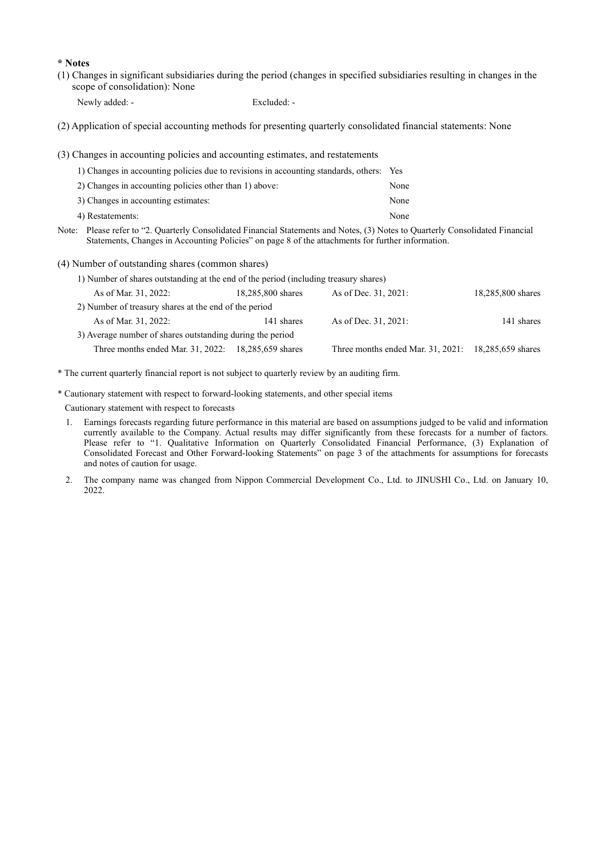#### \* Notes

(1) Changes in significant subsidiaries during the period (changes in specified subsidiaries resulting in changes in the scope of consolidation): None

Newly added: - Excluded: -

(2) Application of special accounting methods for presenting quarterly consolidated financial statements: None

(3) Changes in accounting policies and accounting estimates, and restatements

| 1) Changes in accounting policies due to revisions in accounting standards, others: Yes                                                                                           |      |
|-----------------------------------------------------------------------------------------------------------------------------------------------------------------------------------|------|
| 2) Changes in accounting policies other than 1) above:                                                                                                                            | None |
| 3) Changes in accounting estimates:                                                                                                                                               | None |
| 4) Restatements:                                                                                                                                                                  | None |
| $\alpha$ and $\alpha$ and $\alpha$ and $\alpha$<br>$\mathbf{r}$ , and $\mathbf{r}$ , and $\mathbf{r}$ , and $\mathbf{r}$ , and $\mathbf{r}$ , and $\mathbf{r}$ , and $\mathbf{r}$ |      |

Note: Please refer to "2. Quarterly Consolidated Financial Statements and Notes, (3) Notes to Quarterly Consolidated Financial Statements, Changes in Accounting Policies" on page 8 of the attachments for further information.

(4) Number of outstanding shares (common shares)

| 1) Number of shares outstanding at the end of the period (including treasury shares) |                   |                                                     |                   |
|--------------------------------------------------------------------------------------|-------------------|-----------------------------------------------------|-------------------|
| As of Mar. 31, 2022:                                                                 | 18,285,800 shares | As of Dec. 31, 2021:                                | 18,285,800 shares |
| 2) Number of treasury shares at the end of the period                                |                   |                                                     |                   |
| As of Mar. 31, 2022:                                                                 | 141 shares        | As of Dec. 31, 2021:                                | 141 shares        |
| 3) Average number of shares outstanding during the period                            |                   |                                                     |                   |
| Three months ended Mar. 31, 2022: 18,285,659 shares                                  |                   | Three months ended Mar. 31, 2021: 18,285,659 shares |                   |

\* The current quarterly financial report is not subject to quarterly review by an auditing firm.

\* Cautionary statement with respect to forward-looking statements, and other special items

Cautionary statement with respect to forecasts

- 1. Earnings forecasts regarding future performance in this material are based on assumptions judged to be valid and information currently available to the Company. Actual results may differ significantly from these forecasts for a number of factors. Please refer to "1. Qualitative Information on Quarterly Consolidated Financial Performance, (3) Explanation of Consolidated Forecast and Other Forward-looking Statements" on page 3 of the attachments for assumptions for forecasts and notes of caution for usage.
- 2. The company name was changed from Nippon Commercial Development Co., Ltd. to JINUSHI Co., Ltd. on January 10, 2022.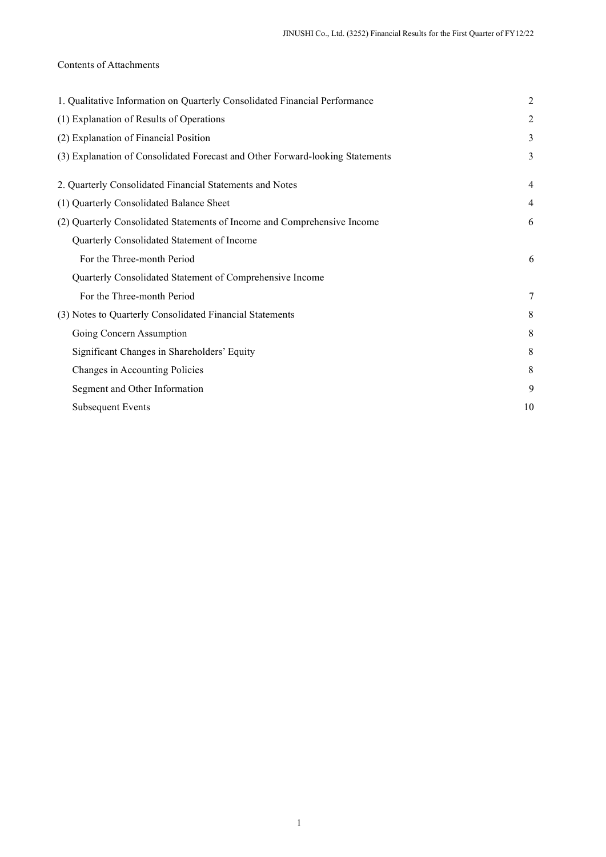# Contents of Attachments

| 1. Qualitative Information on Quarterly Consolidated Financial Performance    | $\overline{2}$ |
|-------------------------------------------------------------------------------|----------------|
| (1) Explanation of Results of Operations                                      | 2              |
| (2) Explanation of Financial Position                                         | 3              |
| (3) Explanation of Consolidated Forecast and Other Forward-looking Statements | 3              |
| 2. Quarterly Consolidated Financial Statements and Notes                      | $\overline{4}$ |
| (1) Quarterly Consolidated Balance Sheet                                      | 4              |
| (2) Quarterly Consolidated Statements of Income and Comprehensive Income      | 6              |
| Quarterly Consolidated Statement of Income                                    |                |
| For the Three-month Period                                                    | 6              |
| Quarterly Consolidated Statement of Comprehensive Income                      |                |
| For the Three-month Period                                                    | 7              |
| (3) Notes to Quarterly Consolidated Financial Statements                      | 8              |
| Going Concern Assumption                                                      | 8              |
| Significant Changes in Shareholders' Equity                                   | 8              |
| Changes in Accounting Policies                                                | 8              |
| Segment and Other Information                                                 | 9              |
| Subsequent Events                                                             | 10             |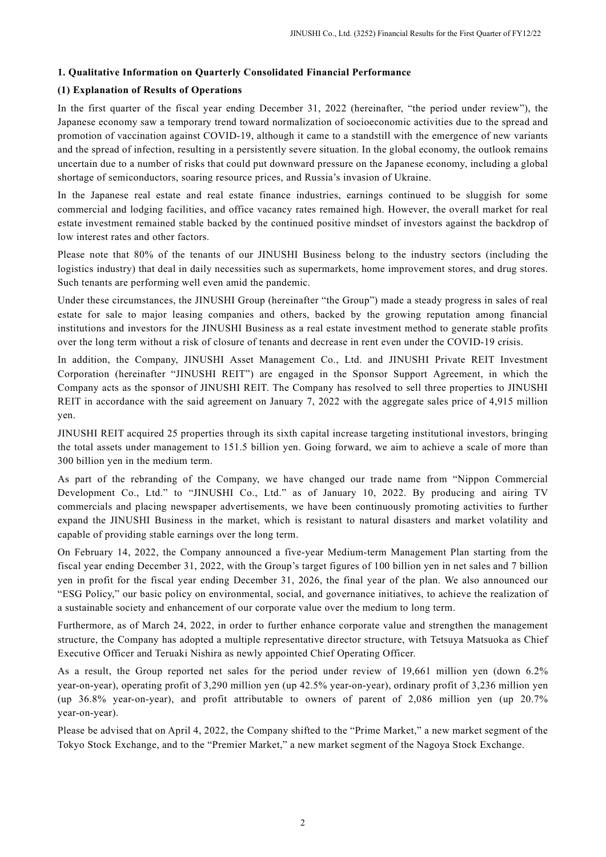### 1. Qualitative Information on Quarterly Consolidated Financial Performance

### (1) Explanation of Results of Operations

In the first quarter of the fiscal year ending December 31, 2022 (hereinafter, "the period under review"), the Japanese economy saw a temporary trend toward normalization of socioeconomic activities due to the spread and promotion of vaccination against COVID-19, although it came to a standstill with the emergence of new variants and the spread of infection, resulting in a persistently severe situation. In the global economy, the outlook remains uncertain due to a number of risks that could put downward pressure on the Japanese economy, including a global shortage of semiconductors, soaring resource prices, and Russia's invasion of Ukraine.

In the Japanese real estate and real estate finance industries, earnings continued to be sluggish for some commercial and lodging facilities, and office vacancy rates remained high. However, the overall market for real estate investment remained stable backed by the continued positive mindset of investors against the backdrop of low interest rates and other factors.

Please note that 80% of the tenants of our JINUSHI Business belong to the industry sectors (including the logistics industry) that deal in daily necessities such as supermarkets, home improvement stores, and drug stores. Such tenants are performing well even amid the pandemic.

Under these circumstances, the JINUSHI Group (hereinafter "the Group") made a steady progress in sales of real estate for sale to major leasing companies and others, backed by the growing reputation among financial institutions and investors for the JINUSHI Business as a real estate investment method to generate stable profits over the long term without a risk of closure of tenants and decrease in rent even under the COVID-19 crisis.

In addition, the Company, JINUSHI Asset Management Co., Ltd. and JINUSHI Private REIT Investment Corporation (hereinafter "JINUSHI REIT") are engaged in the Sponsor Support Agreement, in which the Company acts as the sponsor of JINUSHI REIT. The Company has resolved to sell three properties to JINUSHI REIT in accordance with the said agreement on January 7, 2022 with the aggregate sales price of 4,915 million yen.

JINUSHI REIT acquired 25 properties through its sixth capital increase targeting institutional investors, bringing the total assets under management to 151.5 billion yen. Going forward, we aim to achieve a scale of more than 300 billion yen in the medium term.

As part of the rebranding of the Company, we have changed our trade name from "Nippon Commercial Development Co., Ltd." to "JINUSHI Co., Ltd." as of January 10, 2022. By producing and airing TV commercials and placing newspaper advertisements, we have been continuously promoting activities to further expand the JINUSHI Business in the market, which is resistant to natural disasters and market volatility and capable of providing stable earnings over the long term.

On February 14, 2022, the Company announced a five-year Medium-term Management Plan starting from the fiscal year ending December 31, 2022, with the Group's target figures of 100 billion yen in net sales and 7 billion yen in profit for the fiscal year ending December 31, 2026, the final year of the plan. We also announced our "ESG Policy," our basic policy on environmental, social, and governance initiatives, to achieve the realization of a sustainable society and enhancement of our corporate value over the medium to long term.

Furthermore, as of March 24, 2022, in order to further enhance corporate value and strengthen the management structure, the Company has adopted a multiple representative director structure, with Tetsuya Matsuoka as Chief Executive Officer and Teruaki Nishira as newly appointed Chief Operating Officer.

As a result, the Group reported net sales for the period under review of 19,661 million yen (down 6.2% year-on-year), operating profit of 3,290 million yen (up 42.5% year-on-year), ordinary profit of 3,236 million yen (up 36.8% year-on-year), and profit attributable to owners of parent of 2,086 million yen (up 20.7% year-on-year).

Please be advised that on April 4, 2022, the Company shifted to the "Prime Market," a new market segment of the Tokyo Stock Exchange, and to the "Premier Market," a new market segment of the Nagoya Stock Exchange.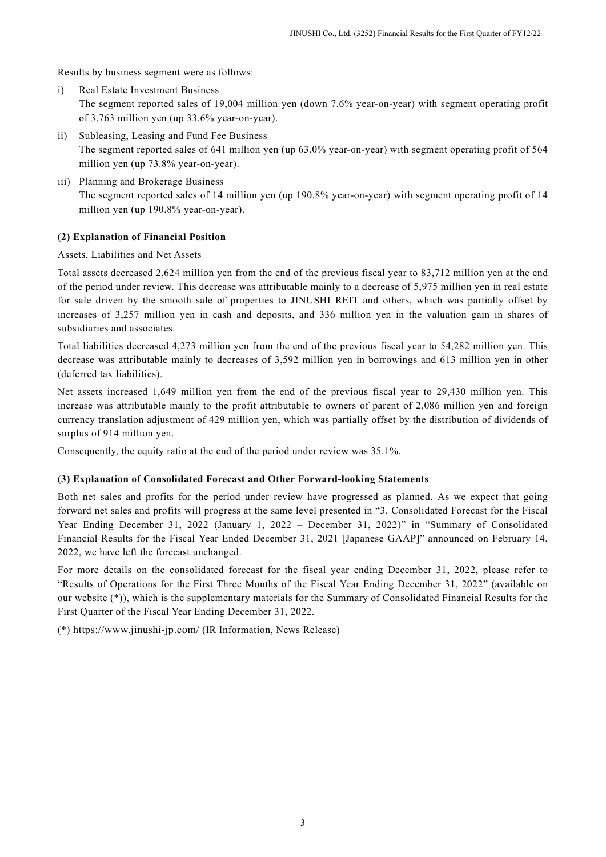Results by business segment were as follows:

- i) Real Estate Investment Business The segment reported sales of 19,004 million yen (down 7.6% year-on-year) with segment operating profit of 3,763 million yen (up 33.6% year-on-year).
- ii) Subleasing, Leasing and Fund Fee Business The segment reported sales of 641 million yen (up 63.0% year-on-year) with segment operating profit of 564 million yen (up 73.8% year-on-year).
- iii) Planning and Brokerage Business The segment reported sales of 14 million yen (up 190.8% year-on-year) with segment operating profit of 14 million yen (up 190.8% year-on-year).

# (2) Explanation of Financial Position

Assets, Liabilities and Net Assets

Total assets decreased 2,624 million yen from the end of the previous fiscal year to 83,712 million yen at the end of the period under review. This decrease was attributable mainly to a decrease of 5,975 million yen in real estate for sale driven by the smooth sale of properties to JINUSHI REIT and others, which was partially offset by increases of 3,257 million yen in cash and deposits, and 336 million yen in the valuation gain in shares of subsidiaries and associates.

Total liabilities decreased 4,273 million yen from the end of the previous fiscal year to 54,282 million yen. This decrease was attributable mainly to decreases of 3,592 million yen in borrowings and 613 million yen in other (deferred tax liabilities).

Net assets increased 1,649 million yen from the end of the previous fiscal year to 29,430 million yen. This increase was attributable mainly to the profit attributable to owners of parent of 2,086 million yen and foreign currency translation adjustment of 429 million yen, which was partially offset by the distribution of dividends of surplus of 914 million yen.

Consequently, the equity ratio at the end of the period under review was 35.1%.

## (3) Explanation of Consolidated Forecast and Other Forward-looking Statements

Both net sales and profits for the period under review have progressed as planned. As we expect that going forward net sales and profits will progress at the same level presented in "3. Consolidated Forecast for the Fiscal Year Ending December 31, 2022 (January 1, 2022 – December 31, 2022)" in "Summary of Consolidated Financial Results for the Fiscal Year Ended December 31, 2021 [Japanese GAAP]" announced on February 14, 2022, we have left the forecast unchanged.

For more details on the consolidated forecast for the fiscal year ending December 31, 2022, please refer to "Results of Operations for the First Three Months of the Fiscal Year Ending December 31, 2022" (available on our website (\*)), which is the supplementary materials for the Summary of Consolidated Financial Results for the First Quarter of the Fiscal Year Ending December 31, 2022.

(\*) https://www.jinushi-jp.com/ (IR Information, News Release)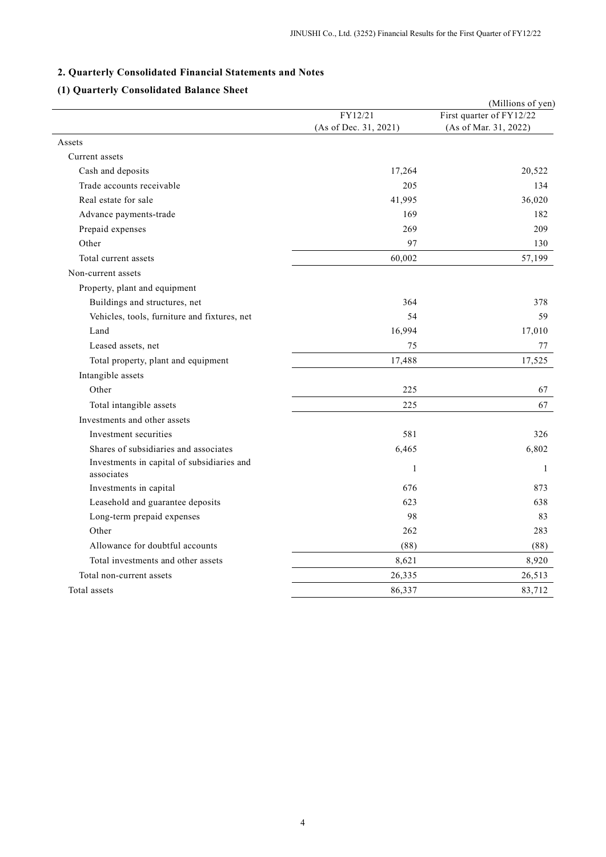### 2. Quarterly Consolidated Financial Statements and Notes

# (1) Quarterly Consolidated Balance Sheet

|                                                          |                       | (Millions of yen)        |
|----------------------------------------------------------|-----------------------|--------------------------|
|                                                          | FY12/21               | First quarter of FY12/22 |
|                                                          | (As of Dec. 31, 2021) | (As of Mar. 31, 2022)    |
| Assets                                                   |                       |                          |
| Current assets                                           |                       |                          |
| Cash and deposits                                        | 17,264                | 20,522                   |
| Trade accounts receivable                                | 205                   | 134                      |
| Real estate for sale                                     | 41,995                | 36,020                   |
| Advance payments-trade                                   | 169                   | 182                      |
| Prepaid expenses                                         | 269                   | 209                      |
| Other                                                    | 97                    | 130                      |
| Total current assets                                     | 60,002                | 57,199                   |
| Non-current assets                                       |                       |                          |
| Property, plant and equipment                            |                       |                          |
| Buildings and structures, net                            | 364                   | 378                      |
| Vehicles, tools, furniture and fixtures, net             | 54                    | 59                       |
| Land                                                     | 16,994                | 17,010                   |
| Leased assets, net                                       | 75                    | 77                       |
| Total property, plant and equipment                      | 17,488                | 17,525                   |
| Intangible assets                                        |                       |                          |
| Other                                                    | 225                   | 67                       |
| Total intangible assets                                  | 225                   | 67                       |
| Investments and other assets                             |                       |                          |
| Investment securities                                    | 581                   | 326                      |
| Shares of subsidiaries and associates                    | 6,465                 | 6,802                    |
| Investments in capital of subsidiaries and<br>associates | $\mathbf{1}$          | $\mathbf{1}$             |
| Investments in capital                                   | 676                   | 873                      |
| Leasehold and guarantee deposits                         | 623                   | 638                      |
| Long-term prepaid expenses                               | 98                    | 83                       |
| Other                                                    | 262                   | 283                      |
| Allowance for doubtful accounts                          | (88)                  | (88)                     |
| Total investments and other assets                       | 8,621                 | 8,920                    |
| Total non-current assets                                 | 26,335                | 26,513                   |
| Total assets                                             | 86,337                | 83,712                   |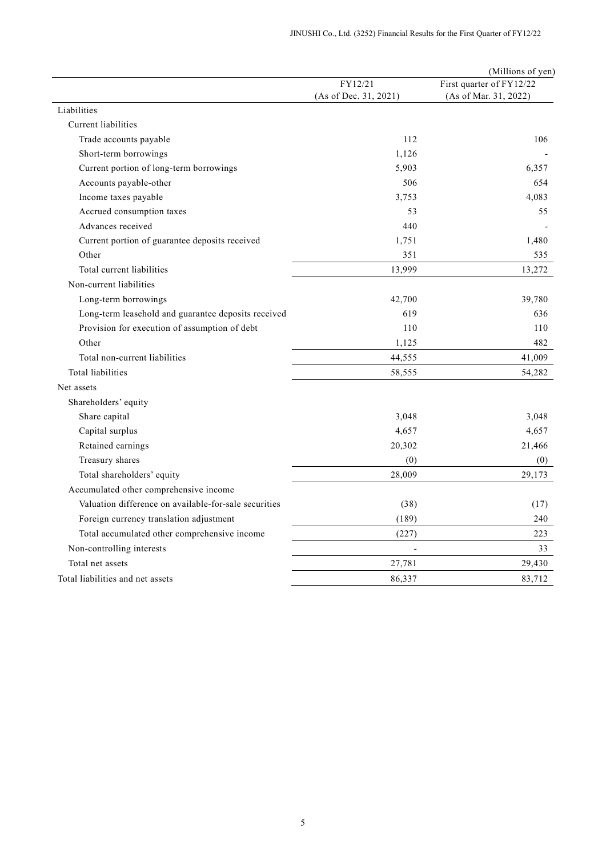|                                                       |                       | (Millions of yen)        |
|-------------------------------------------------------|-----------------------|--------------------------|
|                                                       | FY12/21               | First quarter of FY12/22 |
|                                                       | (As of Dec. 31, 2021) | (As of Mar. 31, 2022)    |
| Liabilities                                           |                       |                          |
| Current liabilities                                   |                       |                          |
| Trade accounts payable                                | 112                   | 106                      |
| Short-term borrowings                                 | 1,126                 |                          |
| Current portion of long-term borrowings               | 5,903                 | 6,357                    |
| Accounts payable-other                                | 506                   | 654                      |
| Income taxes payable                                  | 3,753                 | 4,083                    |
| Accrued consumption taxes                             | 53                    | 55                       |
| Advances received                                     | 440                   |                          |
| Current portion of guarantee deposits received        | 1,751                 | 1,480                    |
| Other                                                 | 351                   | 535                      |
| Total current liabilities                             | 13,999                | 13,272                   |
| Non-current liabilities                               |                       |                          |
| Long-term borrowings                                  | 42,700                | 39,780                   |
| Long-term leasehold and guarantee deposits received   | 619                   | 636                      |
| Provision for execution of assumption of debt         | 110                   | 110                      |
| Other                                                 | 1,125                 | 482                      |
| Total non-current liabilities                         | 44,555                | 41,009                   |
| Total liabilities                                     | 58,555                | 54,282                   |
| Net assets                                            |                       |                          |
| Shareholders' equity                                  |                       |                          |
| Share capital                                         | 3,048                 | 3,048                    |
| Capital surplus                                       | 4,657                 | 4,657                    |
| Retained earnings                                     | 20,302                | 21,466                   |
| Treasury shares                                       | (0)                   | (0)                      |
| Total shareholders' equity                            | 28,009                | 29,173                   |
| Accumulated other comprehensive income                |                       |                          |
| Valuation difference on available-for-sale securities | (38)                  | (17)                     |
| Foreign currency translation adjustment               | (189)                 | 240                      |
| Total accumulated other comprehensive income          | (227)                 | 223                      |
| Non-controlling interests                             |                       | 33                       |
| Total net assets                                      | 27,781                | 29,430                   |
| Total liabilities and net assets                      | 86,337                | 83,712                   |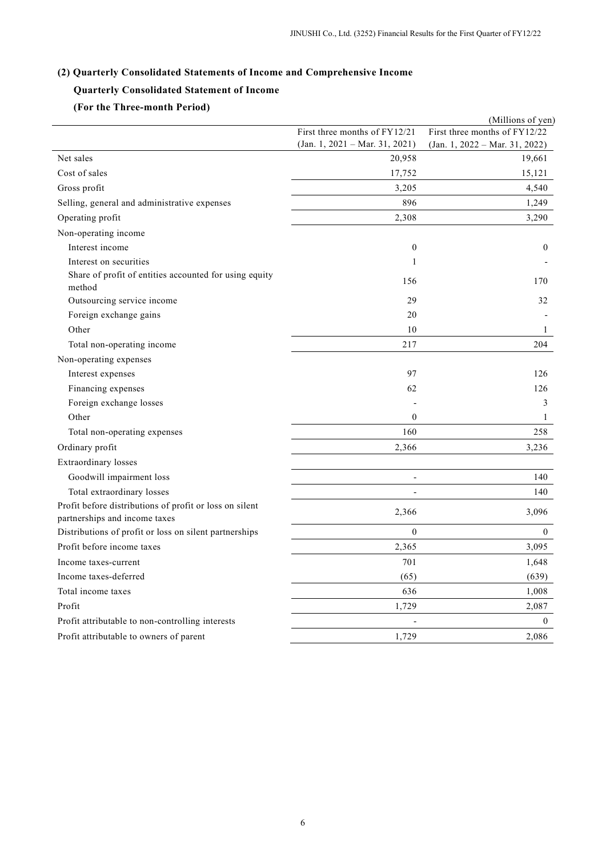### (2) Quarterly Consolidated Statements of Income and Comprehensive Income

## Quarterly Consolidated Statement of Income

# (For the Three-month Period)

|                                                                                          |                                  | (Millions of yen)                |
|------------------------------------------------------------------------------------------|----------------------------------|----------------------------------|
|                                                                                          | First three months of FY12/21    | First three months of FY12/22    |
|                                                                                          | $(Jan. 1, 2021 - Mar. 31, 2021)$ | $(Jan. 1, 2022 - Mar. 31, 2022)$ |
| Net sales                                                                                | 20,958                           | 19,661                           |
| Cost of sales                                                                            | 17,752                           | 15,121                           |
| Gross profit                                                                             | 3,205                            | 4,540                            |
| Selling, general and administrative expenses                                             | 896                              | 1,249                            |
| Operating profit                                                                         | 2,308                            | 3,290                            |
| Non-operating income                                                                     |                                  |                                  |
| Interest income                                                                          | $\boldsymbol{0}$                 | $\boldsymbol{0}$                 |
| Interest on securities                                                                   | 1                                |                                  |
| Share of profit of entities accounted for using equity<br>method                         | 156                              | 170                              |
| Outsourcing service income                                                               | 29                               | 32                               |
| Foreign exchange gains                                                                   | 20                               |                                  |
| Other                                                                                    | 10                               | 1                                |
| Total non-operating income                                                               | 217                              | 204                              |
| Non-operating expenses                                                                   |                                  |                                  |
| Interest expenses                                                                        | 97                               | 126                              |
| Financing expenses                                                                       | 62                               | 126                              |
| Foreign exchange losses                                                                  |                                  | 3                                |
| Other                                                                                    | $\theta$                         | $\mathbf{1}$                     |
| Total non-operating expenses                                                             | 160                              | 258                              |
| Ordinary profit                                                                          | 2,366                            | 3,236                            |
| <b>Extraordinary</b> losses                                                              |                                  |                                  |
| Goodwill impairment loss                                                                 |                                  | 140                              |
| Total extraordinary losses                                                               |                                  | 140                              |
| Profit before distributions of profit or loss on silent<br>partnerships and income taxes | 2,366                            | 3,096                            |
| Distributions of profit or loss on silent partnerships                                   | $\mathbf{0}$                     | $\mathbf{0}$                     |
| Profit before income taxes                                                               | 2,365                            | 3,095                            |
| Income taxes-current                                                                     | 701                              | 1,648                            |
| Income taxes-deferred                                                                    | (65)                             | (639)                            |
| Total income taxes                                                                       | 636                              | 1,008                            |
| Profit                                                                                   | 1,729                            | 2,087                            |
| Profit attributable to non-controlling interests                                         |                                  | $\boldsymbol{0}$                 |
| Profit attributable to owners of parent                                                  | 1,729                            | 2,086                            |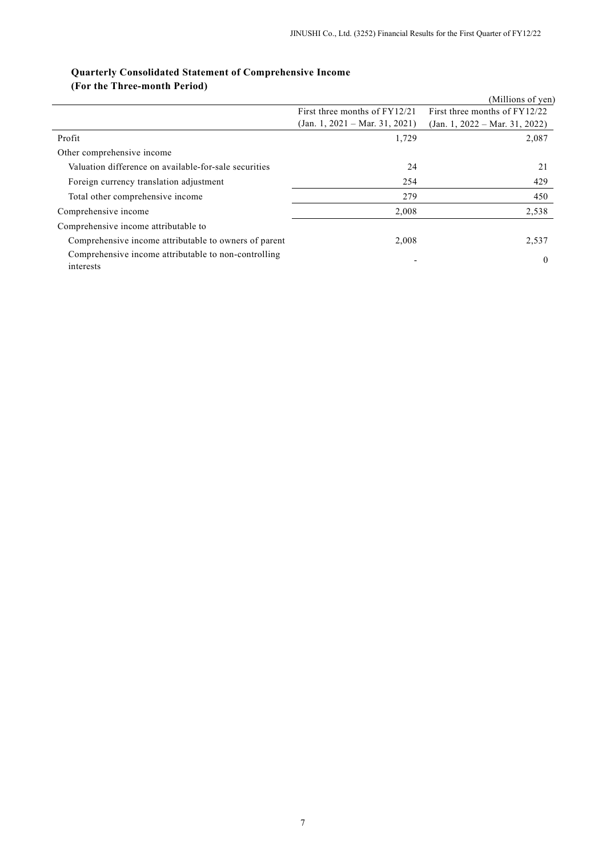# Quarterly Consolidated Statement of Comprehensive Income

(For the Three-month Period)

|                                                                   |                                  | (Millions of yen)                |
|-------------------------------------------------------------------|----------------------------------|----------------------------------|
|                                                                   | First three months of FY12/21    | First three months of FY12/22    |
|                                                                   | $(Jan. 1, 2021 - Mar. 31, 2021)$ | $(Jan. 1, 2022 - Mar. 31, 2022)$ |
| Profit                                                            | 1,729                            | 2,087                            |
| Other comprehensive income                                        |                                  |                                  |
| Valuation difference on available-for-sale securities             | 24                               | 21                               |
| Foreign currency translation adjustment                           | 254                              | 429                              |
| Total other comprehensive income                                  | 279                              | 450                              |
| Comprehensive income                                              | 2,008                            | 2,538                            |
| Comprehensive income attributable to                              |                                  |                                  |
| Comprehensive income attributable to owners of parent             | 2,008                            | 2,537                            |
| Comprehensive income attributable to non-controlling<br>interests |                                  | $\theta$                         |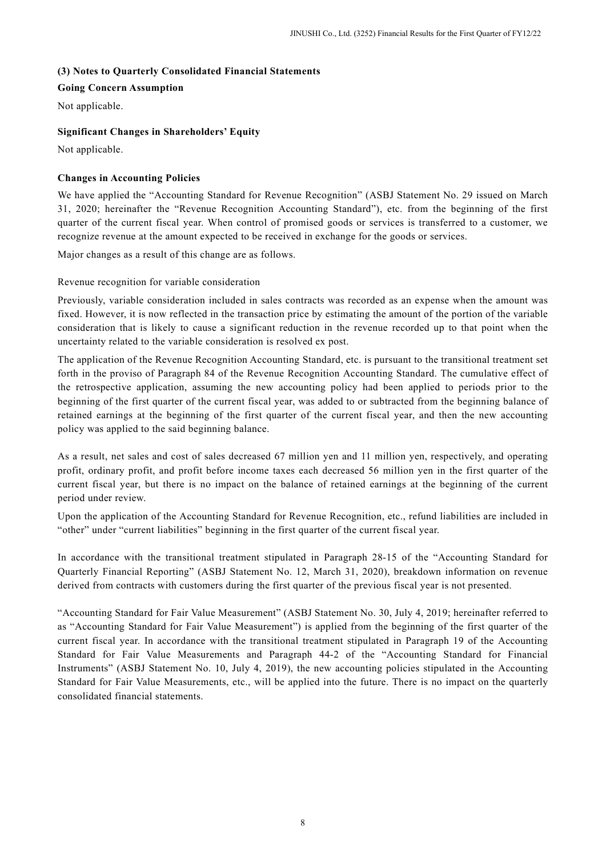## (3) Notes to Quarterly Consolidated Financial Statements

# Going Concern Assumption

Not applicable.

## Significant Changes in Shareholders' Equity

Not applicable.

# Changes in Accounting Policies

We have applied the "Accounting Standard for Revenue Recognition" (ASBJ Statement No. 29 issued on March 31, 2020; hereinafter the "Revenue Recognition Accounting Standard"), etc. from the beginning of the first quarter of the current fiscal year. When control of promised goods or services is transferred to a customer, we recognize revenue at the amount expected to be received in exchange for the goods or services.

Major changes as a result of this change are as follows.

Revenue recognition for variable consideration

Previously, variable consideration included in sales contracts was recorded as an expense when the amount was fixed. However, it is now reflected in the transaction price by estimating the amount of the portion of the variable consideration that is likely to cause a significant reduction in the revenue recorded up to that point when the uncertainty related to the variable consideration is resolved ex post.

The application of the Revenue Recognition Accounting Standard, etc. is pursuant to the transitional treatment set forth in the proviso of Paragraph 84 of the Revenue Recognition Accounting Standard. The cumulative effect of the retrospective application, assuming the new accounting policy had been applied to periods prior to the beginning of the first quarter of the current fiscal year, was added to or subtracted from the beginning balance of retained earnings at the beginning of the first quarter of the current fiscal year, and then the new accounting policy was applied to the said beginning balance.

As a result, net sales and cost of sales decreased 67 million yen and 11 million yen, respectively, and operating profit, ordinary profit, and profit before income taxes each decreased 56 million yen in the first quarter of the current fiscal year, but there is no impact on the balance of retained earnings at the beginning of the current period under review.

Upon the application of the Accounting Standard for Revenue Recognition, etc., refund liabilities are included in "other" under "current liabilities" beginning in the first quarter of the current fiscal year.

In accordance with the transitional treatment stipulated in Paragraph 28-15 of the "Accounting Standard for Quarterly Financial Reporting" (ASBJ Statement No. 12, March 31, 2020), breakdown information on revenue derived from contracts with customers during the first quarter of the previous fiscal year is not presented.

"Accounting Standard for Fair Value Measurement" (ASBJ Statement No. 30, July 4, 2019; hereinafter referred to as "Accounting Standard for Fair Value Measurement") is applied from the beginning of the first quarter of the current fiscal year. In accordance with the transitional treatment stipulated in Paragraph 19 of the Accounting Standard for Fair Value Measurements and Paragraph 44-2 of the "Accounting Standard for Financial Instruments" (ASBJ Statement No. 10, July 4, 2019), the new accounting policies stipulated in the Accounting Standard for Fair Value Measurements, etc., will be applied into the future. There is no impact on the quarterly consolidated financial statements.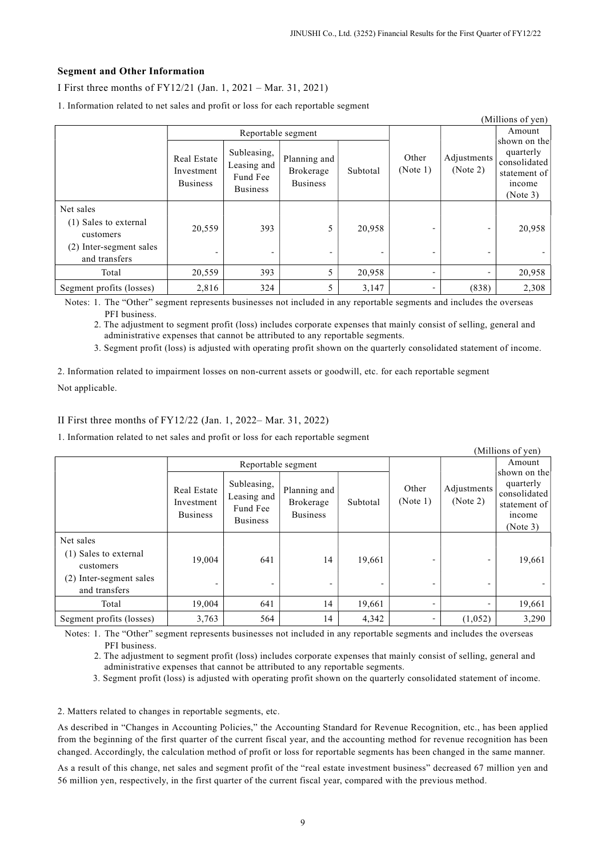### Segment and Other Information

I First three months of FY12/21 (Jan. 1, 2021 – Mar. 31, 2021)

| (Millions of yen)                                                                           |                                              |                                                           |                                              |          |                   |                          |                                                                                 |
|---------------------------------------------------------------------------------------------|----------------------------------------------|-----------------------------------------------------------|----------------------------------------------|----------|-------------------|--------------------------|---------------------------------------------------------------------------------|
|                                                                                             | Reportable segment                           |                                                           |                                              |          |                   |                          | Amount                                                                          |
|                                                                                             | Real Estate<br>Investment<br><b>Business</b> | Subleasing,<br>Leasing and<br>Fund Fee<br><b>Business</b> | Planning and<br>Brokerage<br><b>Business</b> | Subtotal | Other<br>(Note 1) | Adjustments<br>(Note 2)  | shown on the<br>quarterly<br>consolidated<br>statement of<br>income<br>(Note 3) |
| Net sales<br>(1) Sales to external<br>customers<br>(2) Inter-segment sales<br>and transfers | 20,559<br>$\overline{a}$                     | 393                                                       | 5<br>$\overline{\phantom{0}}$                | 20,958   |                   | $\overline{\phantom{0}}$ | 20,958                                                                          |
| Total                                                                                       | 20,559                                       | 393                                                       | 5                                            | 20,958   |                   |                          | 20,958                                                                          |
| Segment profits (losses)                                                                    | 2,816                                        | 324                                                       | 5                                            | 3,147    |                   | (838)                    | 2,308                                                                           |

1. Information related to net sales and profit or loss for each reportable segment

Notes: 1. The "Other" segment represents businesses not included in any reportable segments and includes the overseas PFI business.

2. The adjustment to segment profit (loss) includes corporate expenses that mainly consist of selling, general and administrative expenses that cannot be attributed to any reportable segments.

3. Segment profit (loss) is adjusted with operating profit shown on the quarterly consolidated statement of income.

2. Information related to impairment losses on non-current assets or goodwill, etc. for each reportable segment Not applicable.

II First three months of FY12/22 (Jan. 1, 2022– Mar. 31, 2022)

1. Information related to net sales and profit or loss for each reportable segment

|                                                                                                |                                              |                                                           |                                              |          |                   |                          | (Millions of yen)                                                               |
|------------------------------------------------------------------------------------------------|----------------------------------------------|-----------------------------------------------------------|----------------------------------------------|----------|-------------------|--------------------------|---------------------------------------------------------------------------------|
|                                                                                                | Reportable segment                           |                                                           |                                              |          |                   |                          | Amount                                                                          |
|                                                                                                | Real Estate<br>Investment<br><b>Business</b> | Subleasing,<br>Leasing and<br>Fund Fee<br><b>Business</b> | Planning and<br>Brokerage<br><b>Business</b> | Subtotal | Other<br>(Note 1) | Adjustments<br>(Note 2)  | shown on the<br>quarterly<br>consolidated<br>statement of<br>income<br>(Note 3) |
| Net sales<br>(1) Sales to external<br>customers<br>Inter-segment sales<br>(2)<br>and transfers | 19,004                                       | 641                                                       | 14                                           | 19,661   |                   | $\overline{\phantom{0}}$ | 19,661                                                                          |
| Total                                                                                          | 19,004                                       | 641                                                       | 14                                           | 19,661   |                   | $\overline{\phantom{0}}$ | 19,661                                                                          |
| Segment profits (losses)                                                                       | 3,763                                        | 564                                                       | 14                                           | 4,342    |                   | (1,052)                  | 3,290                                                                           |

Notes: 1. The "Other" segment represents businesses not included in any reportable segments and includes the overseas PFI business.

2. The adjustment to segment profit (loss) includes corporate expenses that mainly consist of selling, general and administrative expenses that cannot be attributed to any reportable segments.

3. Segment profit (loss) is adjusted with operating profit shown on the quarterly consolidated statement of income.

2. Matters related to changes in reportable segments, etc.

As described in "Changes in Accounting Policies," the Accounting Standard for Revenue Recognition, etc., has been applied from the beginning of the first quarter of the current fiscal year, and the accounting method for revenue recognition has been changed. Accordingly, the calculation method of profit or loss for reportable segments has been changed in the same manner.

As a result of this change, net sales and segment profit of the "real estate investment business" decreased 67 million yen and 56 million yen, respectively, in the first quarter of the current fiscal year, compared with the previous method.